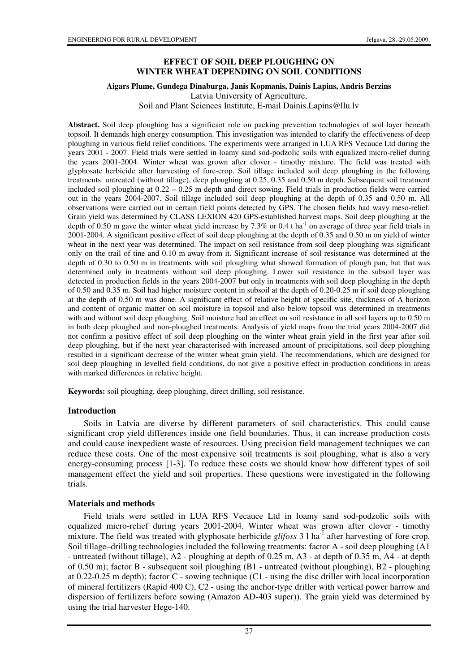### **EFFECT OF SOIL DEEP PLOUGHING ON WINTER WHEAT DEPENDING ON SOIL CONDITIONS**

#### **Aigars Plume, Gundega Dinaburga, Janis Kopmanis, Dainis Lapins, Andris Berzins**

Latvia University of Agriculture,

Soil and Plant Sciences Institute, E-mail Dainis.Lapins@llu.lv

**Abstract.** Soil deep ploughing has a significant role on packing prevention technologies of soil layer beneath topsoil. It demands high energy consumption. This investigation was intended to clarify the effectiveness of deep ploughing in various field relief conditions. The experiments were arranged in LUA RFS Vecauce Ltd during the years 2001 - 2007. Field trials were settled in loamy sand sod-podzolic soils with equalized micro-relief during the years 2001-2004. Winter wheat was grown after clover - timothy mixture. The field was treated with glyphosate herbicide after harvesting of fore-crop. Soil tillage included soil deep ploughing in the following treatments: untreated (without tillage), deep ploughing at 0.25, 0.35 and 0.50 m depth. Subsequent soil treatment included soil ploughing at  $0.22 - 0.25$  m depth and direct sowing. Field trials in production fields were carried out in the years 2004-2007. Soil tillage included soil deep ploughing at the depth of 0.35 and 0.50 m. All observations were carried out in certain field points detected by GPS. The chosen fields had wavy meso-relief. Grain yield was determined by CLASS LEXION 420 GPS-established harvest maps. Soil deep ploughing at the depth of 0.50 m gave the winter wheat yield increase by 7.3% or 0.4 t ha<sup>-1</sup> on average of three year field trials in 2001-2004. A significant positive effect of soil deep ploughing at the depth of 0.35 and 0.50 m on yield of winter wheat in the next year was determined. The impact on soil resistance from soil deep ploughing was significant only on the trail of tine and 0.10 m away from it. Significant increase of soil resistance was determined at the depth of 0.30 to 0.50 m in treatments with soil ploughing what showed formation of plough pan, but that was determined only in treatments without soil deep ploughing. Lower soil resistance in the subsoil layer was detected in production fields in the years 2004-2007 but only in treatments with soil deep ploughing in the depth of 0.50 and 0.35 m. Soil had higher moisture content in subsoil at the depth of 0.20-0.25 m if soil deep ploughing at the depth of 0.50 m was done. A significant effect of relative height of specific site, thickness of A horizon and content of organic matter on soil moisture in topsoil and also below topsoil was determined in treatments with and without soil deep ploughing. Soil moisture had an effect on soil resistance in all soil layers up to 0.50 m in both deep ploughed and non-ploughed treatments. Analysis of yield maps from the trial years 2004-2007 did not confirm a positive effect of soil deep ploughing on the winter wheat grain yield in the first year after soil deep ploughing, but if the next year characterised with increased amount of precipitations, soil deep ploughing resulted in a significant decrease of the winter wheat grain yield. The recommendations, which are designed for soil deep ploughing in levelled field conditions, do not give a positive effect in production conditions in areas with marked differences in relative height.

**Keywords:** soil ploughing, deep ploughing, direct drilling, soil resistance.

#### **Introduction**

Soils in Latvia are diverse by different parameters of soil characteristics. This could cause significant crop yield differences inside one field boundaries. Thus, it can increase production costs and could cause inexpedient waste of resources. Using precision field management techniques we can reduce these costs. One of the most expensive soil treatments is soil ploughing, what is also a very energy-consuming process [1-3]. To reduce these costs we should know how different types of soil management effect the yield and soil properties. These questions were investigated in the following trials.

#### **Materials and methods**

Field trials were settled in LUA RFS Vecauce Ltd in loamy sand sod-podzolic soils with equalized micro-relief during years 2001-2004. Winter wheat was grown after clover - timothy mixture. The field was treated with glyphosate herbicide *glifoss* 3 l ha<sup>-1</sup> after harvesting of fore-crop. Soil tillage–drilling technologies included the following treatments: factor A - soil deep ploughing (A1 - untreated (without tillage), A2 - ploughing at depth of 0.25 m, A3 - at depth of 0.35 m, A4 - at depth of 0.50 m); factor B - subsequent soil ploughing  $(B1$  - untreated (without ploughing), B2 - ploughing at 0.22-0.25 m depth); factor C - sowing technique (C1 - using the disc driller with local incorporation of mineral fertilizers (Rapid 400 C), C2 - using the anchor-type driller with vertical power harrow and dispersion of fertilizers before sowing (Amazon AD-403 super)). The grain yield was determined by using the trial harvester Hege-140.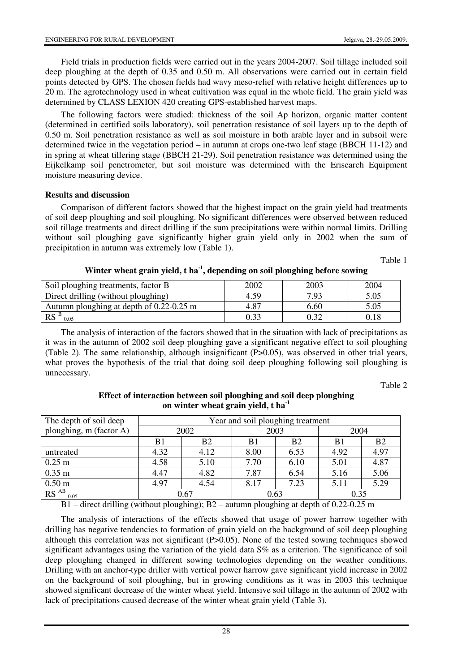Field trials in production fields were carried out in the years 2004-2007. Soil tillage included soil deep ploughing at the depth of 0.35 and 0.50 m. All observations were carried out in certain field points detected by GPS. The chosen fields had wavy meso-relief with relative height differences up to 20 m. The agrotechnology used in wheat cultivation was equal in the whole field. The grain yield was determined by CLASS LEXION 420 creating GPS-established harvest maps.

The following factors were studied: thickness of the soil Ap horizon, organic matter content (determined in certified soils laboratory), soil penetration resistance of soil layers up to the depth of 0.50 m. Soil penetration resistance as well as soil moisture in both arable layer and in subsoil were determined twice in the vegetation period – in autumn at crops one-two leaf stage (BBCH 11-12) and in spring at wheat tillering stage (BBCH 21-29). Soil penetration resistance was determined using the Eijkelkamp soil penetrometer, but soil moisture was determined with the Erisearch Equipment moisture measuring device.

### **Results and discussion**

 $RS^{AB}$  0.05

Comparison of different factors showed that the highest impact on the grain yield had treatments of soil deep ploughing and soil ploughing. No significant differences were observed between reduced soil tillage treatments and direct drilling if the sum precipitations were within normal limits. Drilling without soil ploughing gave significantly higher grain yield only in 2002 when the sum of precipitation in autumn was extremely low (Table 1).

Table 1

| 2002 | 2003 | 2004 |
|------|------|------|
| 4.59 | 7.93 | 5.05 |
| 4.87 | 6.60 | 5.05 |
|      | 0.32 | 0.18 |
|      |      |      |

# **Winter wheat grain yield, t ha-1, depending on soil ploughing before sowing**

The analysis of interaction of the factors showed that in the situation with lack of precipitations as it was in the autumn of 2002 soil deep ploughing gave a significant negative effect to soil ploughing (Table 2). The same relationship, although insignificant (P>0.05), was observed in other trial years, what proves the hypothesis of the trial that doing soil deep ploughing following soil ploughing is unnecessary.

Table 2

| on winter wheat grain yield, t ha <sup>-1</sup> |                                   |                |      |           |      |                |  |
|-------------------------------------------------|-----------------------------------|----------------|------|-----------|------|----------------|--|
| The depth of soil deep                          | Year and soil ploughing treatment |                |      |           |      |                |  |
| ploughing, m (factor A)                         | 2002                              |                | 2003 |           | 2004 |                |  |
|                                                 | B1                                | B <sub>2</sub> | B1   | <b>B2</b> | B1   | B <sub>2</sub> |  |
| untreated                                       | 4.32                              | 4.12           | 8.00 | 6.53      | 4.92 | 4.97           |  |
| $0.25 \text{ m}$                                | 4.58                              | 5.10           | 7.70 | 6.10      | 5.01 | 4.87           |  |
| $0.35 \text{ m}$                                | 4.47                              | 4.82           | 7.87 | 6.54      | 5.16 | 5.06           |  |
| $0.50 \text{ m}$                                | 4.97                              | 4.54           | 8.17 | 7.23      | 5.11 | 5.29           |  |

## **Effect of interaction between soil ploughing and soil deep ploughing on winter wheat grain yield, t ha-1**

 $0.05$  0.67 0.63 0.35  $B1$  – direct drilling (without ploughing);  $B2$  – autumn ploughing at depth of 0.22-0.25 m

The analysis of interactions of the effects showed that usage of power harrow together with drilling has negative tendencies to formation of grain yield on the background of soil deep ploughing although this correlation was not significant  $(P>0.05)$ . None of the tested sowing techniques showed significant advantages using the variation of the yield data S% as a criterion. The significance of soil deep ploughing changed in different sowing technologies depending on the weather conditions. Drilling with an anchor-type driller with vertical power harrow gave significant yield increase in 2002 on the background of soil ploughing, but in growing conditions as it was in 2003 this technique showed significant decrease of the winter wheat yield. Intensive soil tillage in the autumn of 2002 with lack of precipitations caused decrease of the winter wheat grain yield (Table 3).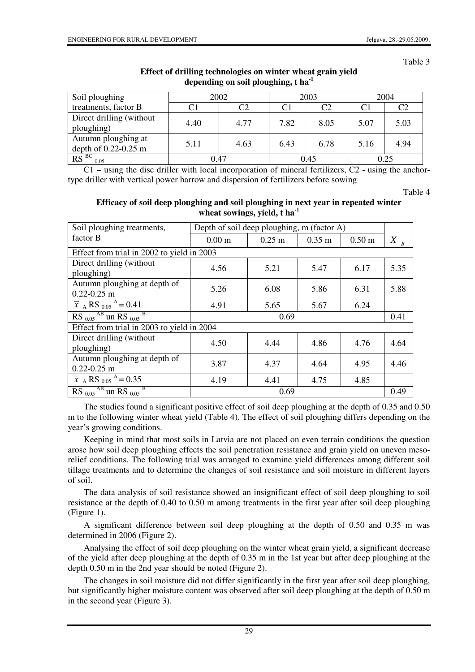Table 3

| Soil ploughing                                  | 2002 |                | 2003 |      | 2004 |      |
|-------------------------------------------------|------|----------------|------|------|------|------|
| treatments, factor B                            | C1   | C <sub>2</sub> | C1   | C2   |      | C2   |
| Direct drilling (without<br>ploughing)          | 4.40 | 4.77           | 7.82 | 8.05 | 5.07 | 5.03 |
| Autumn ploughing at<br>depth of $0.22 - 0.25$ m | 5.11 | 4.63           | 6.43 | 6.78 | 5.16 | 4.94 |
| $R\overline{S}^{BC}$<br>0.05                    | 0.47 |                | 0.45 |      | 0.25 |      |

## **Effect of drilling technologies on winter wheat grain yield depending on soil ploughing, t ha-1**

C1 – using the disc driller with local incorporation of mineral fertilizers, C2 - using the anchortype driller with vertical power harrow and dispersion of fertilizers before sowing

Table 4

## **Efficacy of soil deep ploughing and soil ploughing in next year in repeated winter wheat sowings, yield, t ha-1**

| Soil ploughing treatments,                                                            | Depth of soil deep ploughing, m (factor A) |          |                      |                   |                    |  |
|---------------------------------------------------------------------------------------|--------------------------------------------|----------|----------------------|-------------------|--------------------|--|
| factor B                                                                              | 0.00 <sub>m</sub>                          | $0.25$ m | $0.35 \; \mathrm{m}$ | 0.50 <sub>m</sub> | $\overline{X}_{B}$ |  |
| Effect from trial in 2002 to yield in 2003                                            |                                            |          |                      |                   |                    |  |
| Direct drilling (without)<br>ploughing)                                               | 4.56                                       | 5.21     | 5.47                 | 6.17              | 5.35               |  |
| Autumn ploughing at depth of<br>$0.22 - 0.25$ m                                       | 5.26                                       | 6.08     | 5.86                 | 6.31              | 5.88               |  |
| $\overline{x}$ A RS <sub>0.05</sub> <sup>A</sup> = 0.41                               | 4.91                                       | 5.65     | 5.67                 | 6.24              |                    |  |
| $\overline{\text{RS}_{0.05}}^{\text{AB}}$ un $\overline{\text{RS}_{0.05}}^{\text{B}}$ | 0.69                                       |          |                      |                   |                    |  |
| Effect from trial in 2003 to yield in 2004                                            |                                            |          |                      |                   |                    |  |
| Direct drilling (without<br>ploughing)                                                | 4.50                                       | 4.44     | 4.86                 | 4.76              | 4.64               |  |
| Autumn ploughing at depth of<br>$0.22 - 0.25$ m                                       | 3.87                                       | 4.37     | 4.64                 | 4.95              | 4.46               |  |
| $\overline{x}$ A RS <sub>0.05</sub> <sup>A</sup> = 0.35                               | 4.19                                       | 4.41     | 4.75                 | 4.85              |                    |  |
| $\overline{\text{RS}_{0.05}}^{\text{AB}}$ un $\overline{\text{RS}_{0.05}}^{\text{B}}$ | 0.69                                       |          |                      |                   | 0.49               |  |

The studies found a significant positive effect of soil deep ploughing at the depth of 0.35 and 0.50 m to the following winter wheat yield (Table 4). The effect of soil ploughing differs depending on the year's growing conditions.

Keeping in mind that most soils in Latvia are not placed on even terrain conditions the question arose how soil deep ploughing effects the soil penetration resistance and grain yield on uneven mesorelief conditions. The following trial was arranged to examine yield differences among different soil tillage treatments and to determine the changes of soil resistance and soil moisture in different layers of soil.

The data analysis of soil resistance showed an insignificant effect of soil deep ploughing to soil resistance at the depth of 0.40 to 0.50 m among treatments in the first year after soil deep ploughing (Figure 1).

A significant difference between soil deep ploughing at the depth of 0.50 and 0.35 m was determined in 2006 (Figure 2).

Analysing the effect of soil deep ploughing on the winter wheat grain yield, a significant decrease of the yield after deep ploughing at the depth of 0.35 m in the 1st year but after deep ploughing at the depth 0.50 m in the 2nd year should be noted (Figure 2).

The changes in soil moisture did not differ significantly in the first year after soil deep ploughing, but significantly higher moisture content was observed after soil deep ploughing at the depth of 0.50 m in the second year (Figure 3).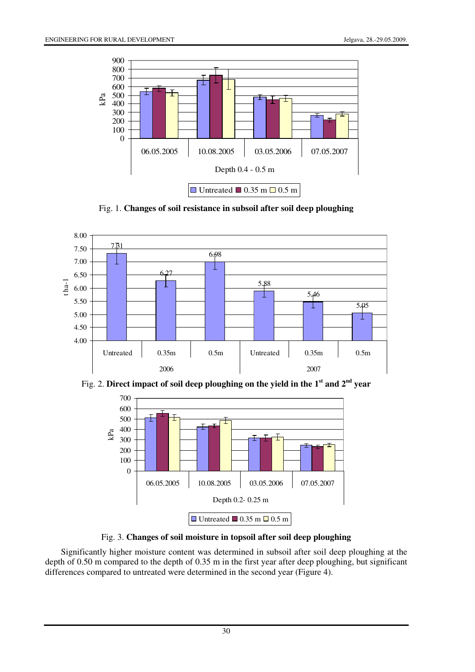

Fig. 1. **Changes of soil resistance in subsoil after soil deep ploughing**







Fig. 3. **Changes of soil moisture in topsoil after soil deep ploughing** 

Significantly higher moisture content was determined in subsoil after soil deep ploughing at the depth of 0.50 m compared to the depth of 0.35 m in the first year after deep ploughing, but significant differences compared to untreated were determined in the second year (Figure 4).